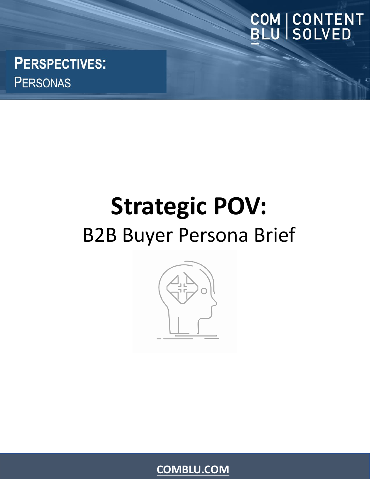## COM | CONTENT<br>BLU | SOLVED

**PERSPECTIVES: PERSONAS** 

### **Strategic POV:** B2B Buyer Persona Brief



**[COMBLU.COM](https://comblu.com/)**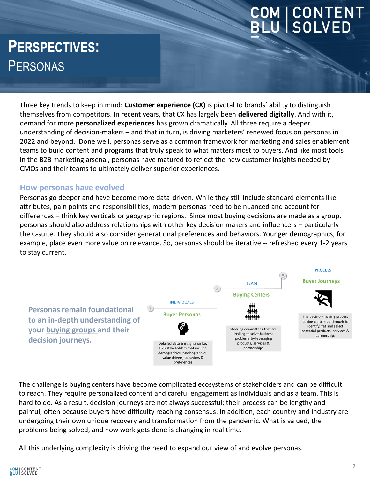# **COM | CONTENT<br>BLU | SOLVED**

### **PERSPECTIVES:** PERSONAS

Three key trends to keep in mind: **Customer experience (CX)** is pivotal to brands' ability to distinguish themselves from competitors. In recent years, that CX has largely been **delivered digitally**. And with it, demand for more **personalized experiences** has grown dramatically. All three require a deeper understanding of decision-makers – and that in turn, is driving marketers' renewed focus on personas in 2022 and beyond. Done well, personas serve as a common framework for marketing and sales enablement teams to build content and programs that truly speak to what matters most to buyers. And like most tools in the B2B marketing arsenal, personas have matured to reflect the new customer insights needed by CMOs and their teams to ultimately deliver superior experiences.

#### **How personas have evolved**

Personas go deeper and have become more data-driven. While they still include standard elements like attributes, pain points and responsibilities, modern personas need to be nuanced and account for differences – think key verticals or geographic regions. Since most buying decisions are made as a group, personas should also address relationships with other key decision makers and influencers – particularly the C-suite. They should also consider generational preferences and behaviors. Younger demographics, for example, place even more value on relevance. So, personas should be iterative -- refreshed every 1-2 years to stay current.



The challenge is buying centers have become complicated ecosystems of stakeholders and can be difficult to reach. They require personalized content and careful engagement as individuals and as a team. This is hard to do. As a result, decision journeys are not always successful; their process can be lengthy and painful, often because buyers have difficulty reaching consensus. In addition, each country and industry are undergoing their own unique recovery and transformation from the pandemic. What is valued, the problems being solved, and how work gets done is changing in real time.

All this underlying complexity is driving the need to expand our view of and evolve personas.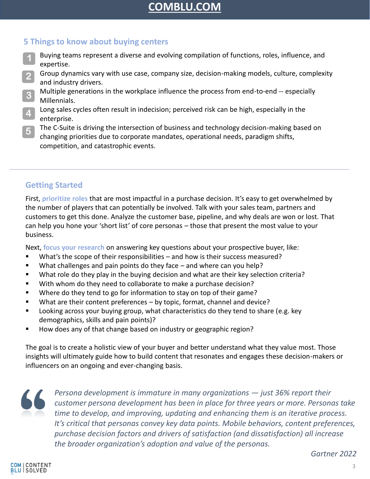#### **[COMBLU.COM](https://comblu.com/)**

#### **5 Things to know about buying centers**

- Buying teams represent a diverse and evolving compilation of functions, roles, influence, and expertise. **1**
- Group dynamics vary with use case, company size, decision-making models, culture, complexity and industry drivers. **2**
- Multiple generations in the workplace influence the process from end-to-end -- especially Millennials. **3**
- Long sales cycles often result in indecision; perceived risk can be high, especially in the enterprise. **4**
- The C-Suite is driving the intersection of business and technology decision-making based on changing priorities due to corporate mandates, operational needs, paradigm shifts, competition, and catastrophic events. **5**

#### **Getting Started**

First, **prioritize roles** that are most impactful in a purchase decision. It's easy to get overwhelmed by the number of players that can potentially be involved. Talk with your sales team, partners and customers to get this done. Analyze the customer base, pipeline, and why deals are won or lost. That can help you hone your 'short list' of core personas – those that present the most value to your business.

Next, **focus your research** on answering key questions about your prospective buyer, like:

- What's the scope of their responsibilities  $-$  and how is their success measured?
- What challenges and pain points do they face and where can you help?
- What role do they play in the buying decision and what are their key selection criteria?
- With whom do they need to collaborate to make a purchase decision?
- Where do they tend to go for information to stay on top of their game?
- What are their content preferences by topic, format, channel and device?
- Looking across your buying group, what characteristics do they tend to share (e.g. key demographics, skills and pain points)?
- How does any of that change based on industry or geographic region?

The goal is to create a holistic view of your buyer and better understand what they value most. Those insights will ultimately guide how to build content that resonates and engages these decision-makers or influencers on an ongoing and ever-changing basis.



*Persona development is immature in many organizations — just 36% report their customer persona development has been in place for three years or more. Personas take time to develop, and improving, updating and enhancing them is an iterative process. It's critical that personas convey key data points. Mobile behaviors, content preferences, purchase decision factors and drivers of satisfaction (and dissatisfaction) all increase the broader organization's adoption and value of the personas.*